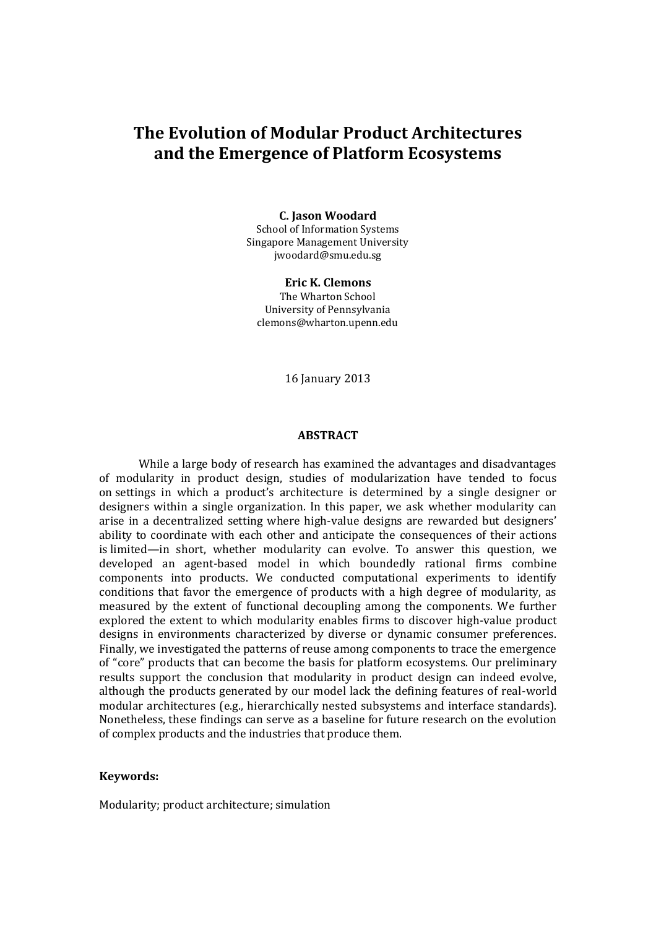# **The Evolution of Modular Product Architectures and the Emergence of Platform Ecosystems**

#### **C. Jason Woodard**

School of Information Systems Singapore Management University jwoodard@smu.edu.sg

**Eric K. Clemons** The Wharton School University of Pennsylvania clemons@wharton.upenn.edu

16 January 2013

#### **ABSTRACT**

While a large body of research has examined the advantages and disadvantages of modularity in product design, studies of modularization have tended to focus on settings in which a product's architecture is determined by a single designer or designers within a single organization. In this paper, we ask whether modularity can arise in a decentralized setting where high-value designs are rewarded but designers' ability to coordinate with each other and anticipate the consequences of their actions is limited—in short, whether modularity can evolve. To answer this question, we developed an agent-based model in which boundedly rational firms combine components into products. We conducted computational experiments to identify conditions that favor the emergence of products with a high degree of modularity, as measured by the extent of functional decoupling among the components. We further explored the extent to which modularity enables firms to discover high-value product designs in environments characterized by diverse or dynamic consumer preferences. Finally, we investigated the patterns of reuse among components to trace the emergence of "core" products that can become the basis for platform ecosystems. Our preliminary results support the conclusion that modularity in product design can indeed evolve, although the products generated by our model lack the defining features of real-world modular architectures (e.g., hierarchically nested subsystems and interface standards). Nonetheless, these findings can serve as a baseline for future research on the evolution of complex products and the industries that produce them.

#### **Keywords:**

Modularity; product architecture; simulation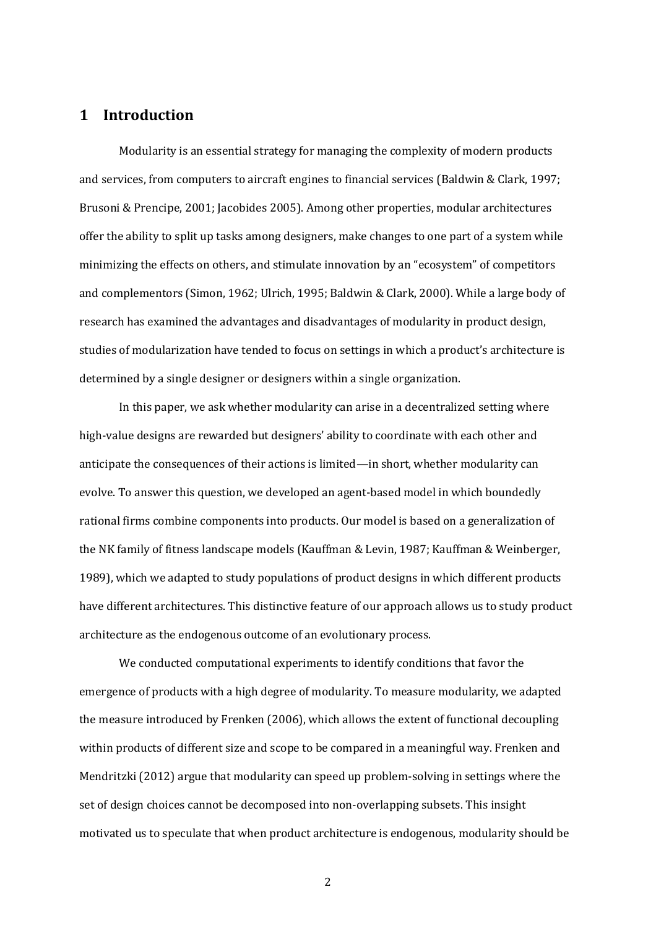## **1 Introduction**

Modularity is an essential strategy for managing the complexity of modern products and services, from computers to aircraft engines to financial services (Baldwin & Clark, 1997; Brusoni & Prencipe, 2001; Jacobides 2005). Among other properties, modular architectures offer the ability to split up tasks among designers, make changes to one part of a system while minimizing the effects on others, and stimulate innovation by an "ecosystem" of competitors and complementors (Simon, 1962; Ulrich, 1995; Baldwin & Clark, 2000). While a large body of research has examined the advantages and disadvantages of modularity in product design, studies of modularization have tended to focus on settings in which a product's architecture is determined by a single designer or designers within a single organization.

In this paper, we ask whether modularity can arise in a decentralized setting where high-value designs are rewarded but designers' ability to coordinate with each other and anticipate the consequences of their actions is limited—in short, whether modularity can evolve. To answer this question, we developed an agent-based model in which boundedly rational firms combine components into products. Our model is based on a generalization of the NK family of fitness landscape models (Kauffman & Levin, 1987; Kauffman & Weinberger, 1989), which we adapted to study populations of product designs in which different products have different architectures. This distinctive feature of our approach allows us to study product architecture as the endogenous outcome of an evolutionary process.

We conducted computational experiments to identify conditions that favor the emergence of products with a high degree of modularity. To measure modularity, we adapted the measure introduced by Frenken (2006), which allows the extent of functional decoupling within products of different size and scope to be compared in a meaningful way. Frenken and Mendritzki (2012) argue that modularity can speed up problem-solving in settings where the set of design choices cannot be decomposed into non-overlapping subsets. This insight motivated us to speculate that when product architecture is endogenous, modularity should be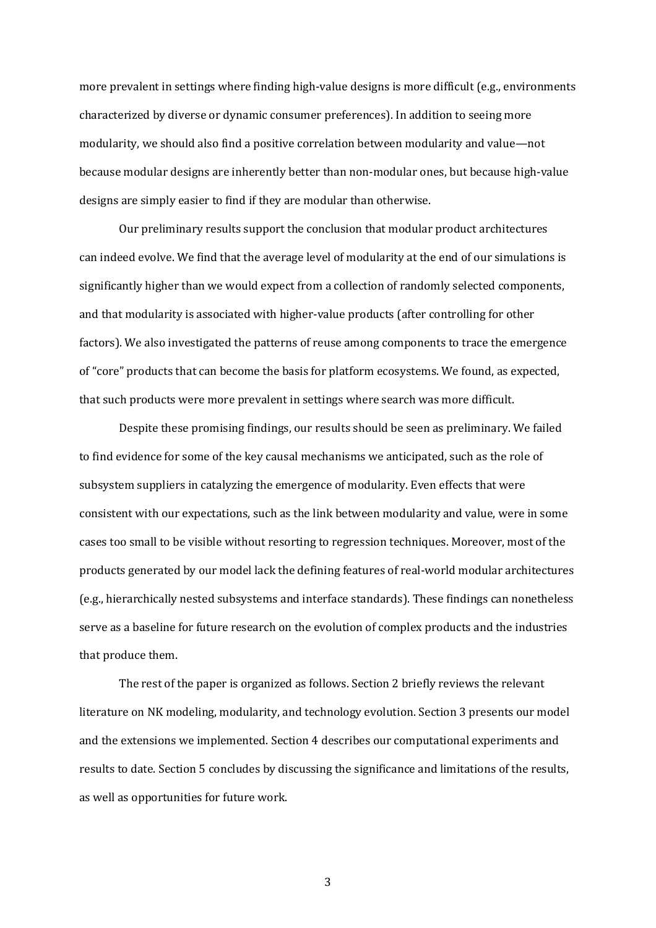more prevalent in settings where finding high-value designs is more difficult (e.g., environments characterized by diverse or dynamic consumer preferences). In addition to seeing more modularity, we should also find a positive correlation between modularity and value—not because modular designs are inherently better than non-modular ones, but because high-value designs are simply easier to find if they are modular than otherwise.

Our preliminary results support the conclusion that modular product architectures can indeed evolve. We find that the average level of modularity at the end of our simulations is significantly higher than we would expect from a collection of randomly selected components, and that modularity is associated with higher-value products (after controlling for other factors). We also investigated the patterns of reuse among components to trace the emergence of "core" products that can become the basis for platform ecosystems. We found, as expected, that such products were more prevalent in settings where search was more difficult.

Despite these promising findings, our results should be seen as preliminary. We failed to find evidence for some of the key causal mechanisms we anticipated, such as the role of subsystem suppliers in catalyzing the emergence of modularity. Even effects that were consistent with our expectations, such as the link between modularity and value, were in some cases too small to be visible without resorting to regression techniques. Moreover, most of the products generated by our model lack the defining features of real-world modular architectures (e.g., hierarchically nested subsystems and interface standards). These findings can nonetheless serve as a baseline for future research on the evolution of complex products and the industries that produce them.

The rest of the paper is organized as follows. Section 2 briefly reviews the relevant literature on NK modeling, modularity, and technology evolution. Section 3 presents our model and the extensions we implemented. Section 4 describes our computational experiments and results to date. Section 5 concludes by discussing the significance and limitations of the results, as well as opportunities for future work.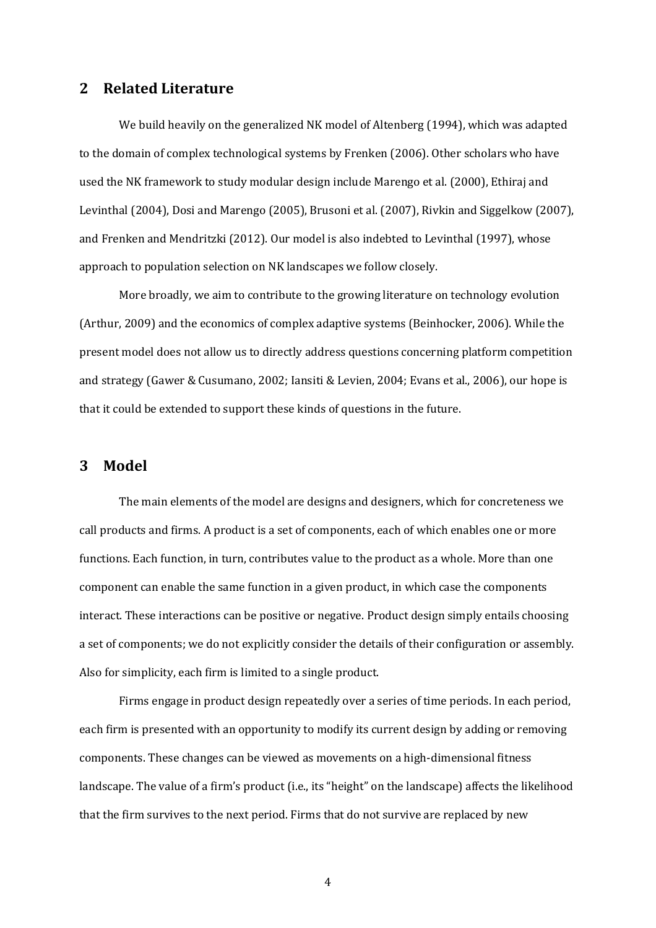## **2 Related Literature**

We build heavily on the generalized NK model of Altenberg (1994), which was adapted to the domain of complex technological systems by Frenken (2006). Other scholars who have used the NK framework to study modular design include Marengo et al. (2000), Ethiraj and Levinthal (2004), Dosi and Marengo (2005), Brusoni et al. (2007), Rivkin and Siggelkow (2007), and Frenken and Mendritzki (2012). Our model is also indebted to Levinthal (1997), whose approach to population selection on NK landscapes we follow closely.

More broadly, we aim to contribute to the growing literature on technology evolution (Arthur, 2009) and the economics of complex adaptive systems (Beinhocker, 2006). While the present model does not allow us to directly address questions concerning platform competition and strategy (Gawer & Cusumano, 2002; Iansiti & Levien, 2004; Evans et al., 2006), our hope is that it could be extended to support these kinds of questions in the future.

## **3 Model**

The main elements of the model are designs and designers, which for concreteness we call products and firms. A product is a set of components, each of which enables one or more functions. Each function, in turn, contributes value to the product as a whole. More than one component can enable the same function in a given product, in which case the components interact. These interactions can be positive or negative. Product design simply entails choosing a set of components; we do not explicitly consider the details of their configuration or assembly. Also for simplicity, each firm is limited to a single product.

Firms engage in product design repeatedly over a series of time periods. In each period, each firm is presented with an opportunity to modify its current design by adding or removing components. These changes can be viewed as movements on a high-dimensional fitness landscape. The value of a firm's product (i.e., its "height" on the landscape) affects the likelihood that the firm survives to the next period. Firms that do not survive are replaced by new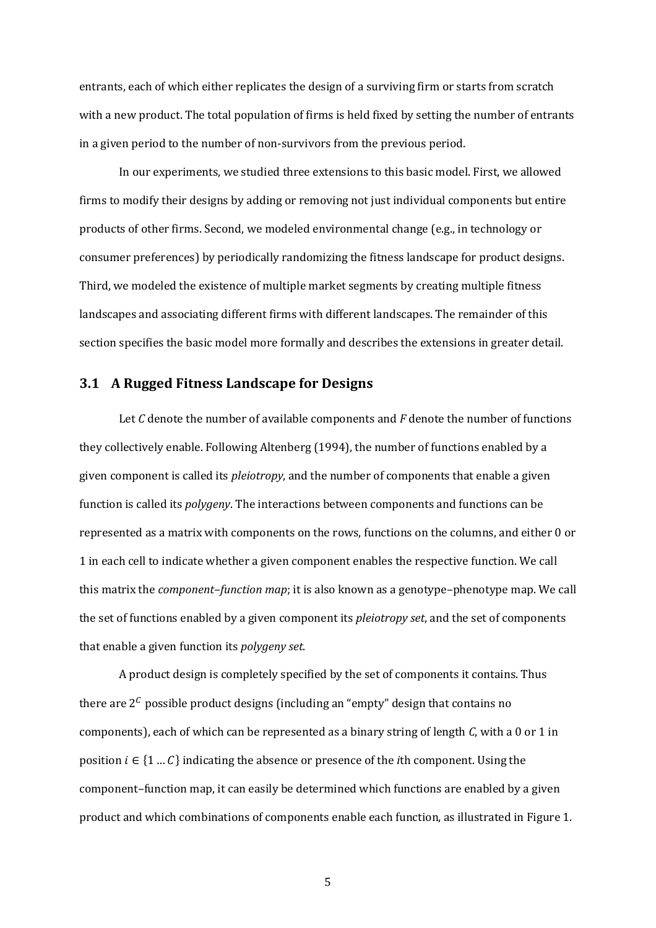entrants, each of which either replicates the design of a surviving firm or starts from scratch with a new product. The total population of firms is held fixed by setting the number of entrants in a given period to the number of non-survivors from the previous period.

In our experiments, we studied three extensions to this basic model. First, we allowed firms to modify their designs by adding or removing not just individual components but entire products of other firms. Second, we modeled environmental change (e.g., in technology or consumer preferences) by periodically randomizing the fitness landscape for product designs. Third, we modeled the existence of multiple market segments by creating multiple fitness landscapes and associating different firms with different landscapes. The remainder of this section specifies the basic model more formally and describes the extensions in greater detail.

## **3.1 A Rugged Fitness Landscape for Designs**

Let *C* denote the number of available components and *F* denote the number of functions they collectively enable. Following Altenberg (1994), the number of functions enabled by a given component is called its *pleiotropy*, and the number of components that enable a given function is called its *polygeny*. The interactions between components and functions can be represented as a matrix with components on the rows, functions on the columns, and either 0 or 1 in each cell to indicate whether a given component enables the respective function. We call this matrix the *component–function map*; it is also known as a genotype–phenotype map. We call the set of functions enabled by a given component its *pleiotropy set*, and the set of components that enable a given function its *polygeny set*.

A product design is completely specified by the set of components it contains. Thus there are  $2^c$  possible product designs (including an "empty" design that contains no components), each of which can be represented as a binary string of length *C*, with a 0 or 1 in position  $i \in \{1...C\}$  indicating the absence or presence of the *i*th component. Using the component–function map, it can easily be determined which functions are enabled by a given product and which combinations of components enable each function, as illustrated in Figure 1.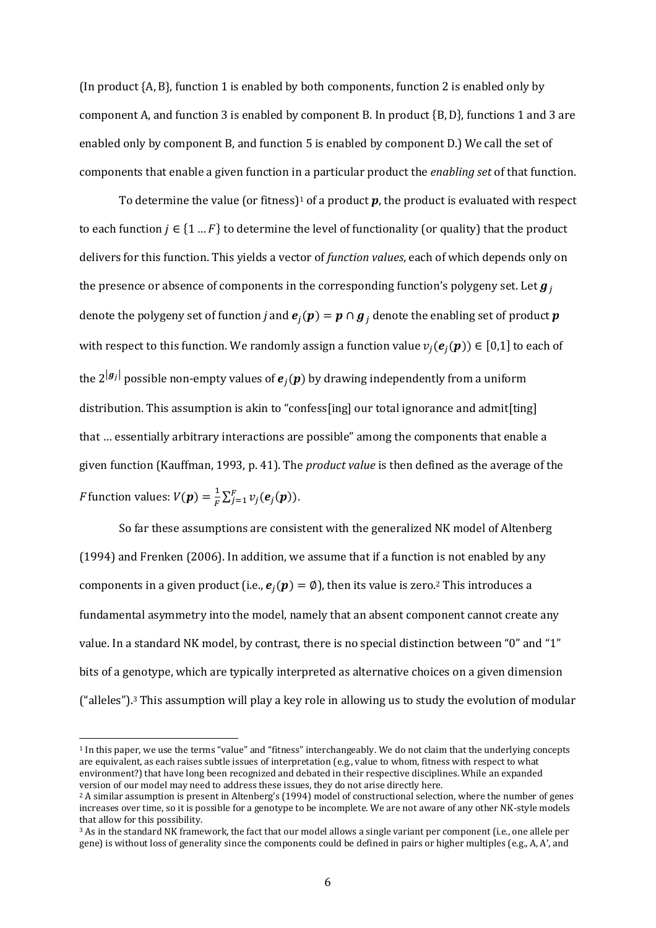(In product  ${A, B}$ , function 1 is enabled by both components, function 2 is enabled only by component A, and function 3 is enabled by component B. In product  ${B, D}$ , functions 1 and 3 are enabled only by component B, and function 5 is enabled by component D.) We call the set of components that enable a given function in a particular product the *enabling set* of that function.

To determine the value (or fitness)<sup>1</sup> of a product  $p$ , the product is evaluated with respect to each function  $j \in \{1...F\}$  to determine the level of functionality (or quality) that the product delivers for this function. This yields a vector of *function values*, each of which depends only on the presence or absence of components in the corresponding function's polygeny set. Let  $g_i$ denote the polygeny set of function *j* and  $e_j(p) = p \cap g_j$  denote the enabling set of product *p* with respect to this function. We randomly assign a function value  $v_i(e_i(\boldsymbol{p})) \in [0,1]$  to each of the  $2^{g_j}$  possible non-empty values of  $e_j(p)$  by drawing independently from a uniform distribution. This assumption is akin to "confess[ing] our total ignorance and admit[ting] that ... essentially arbitrary interactions are possible" among the components that enable a given function (Kauffman, 1993, p. 41). The *product value* is then defined as the average of the *F* function values:  $V(\boldsymbol{p}) = \frac{1}{F} \sum_{j=1}^{F} v_j(\boldsymbol{e}_j(\boldsymbol{p})).$ 

So far these assumptions are consistent with the generalized NK model of Altenberg (1994) and Frenken (2006). In addition, we assume that if a function is not enabled by any components in a given product (i.e.,  $e_i(p) = \emptyset$ ), then its value is zero.<sup>2</sup> This introduces a fundamental asymmetry into the model, namely that an absent component cannot create any value. In a standard NK model, by contrast, there is no special distinction between "0" and "1" bits of a genotype, which are typically interpreted as alternative choices on a given dimension ("alleles").3 This assumption will play a key role in allowing us to study the evolution of modular

<sup>&</sup>lt;sup>1</sup> In this paper, we use the terms "value" and "fitness" interchangeably. We do not claim that the underlying concepts are equivalent, as each raises subtle issues of interpretation (e.g., value to whom, fitness with respect to what environment?) that have long been recognized and debated in their respective disciplines. While an expanded version of our model may need to address these issues, they do not arise directly here.

<sup>&</sup>lt;sup>2</sup> A similar assumption is present in Altenberg's (1994) model of constructional selection, where the number of genes increases over time, so it is possible for a genotype to be incomplete. We are not aware of any other NK-style models that allow for this possibility.

<sup>3</sup> As in the standard NK framework, the fact that our model allows a single variant per component (i.e., one allele per gene) is without loss of generality since the components could be defined in pairs or higher multiples (e.g., A, A', and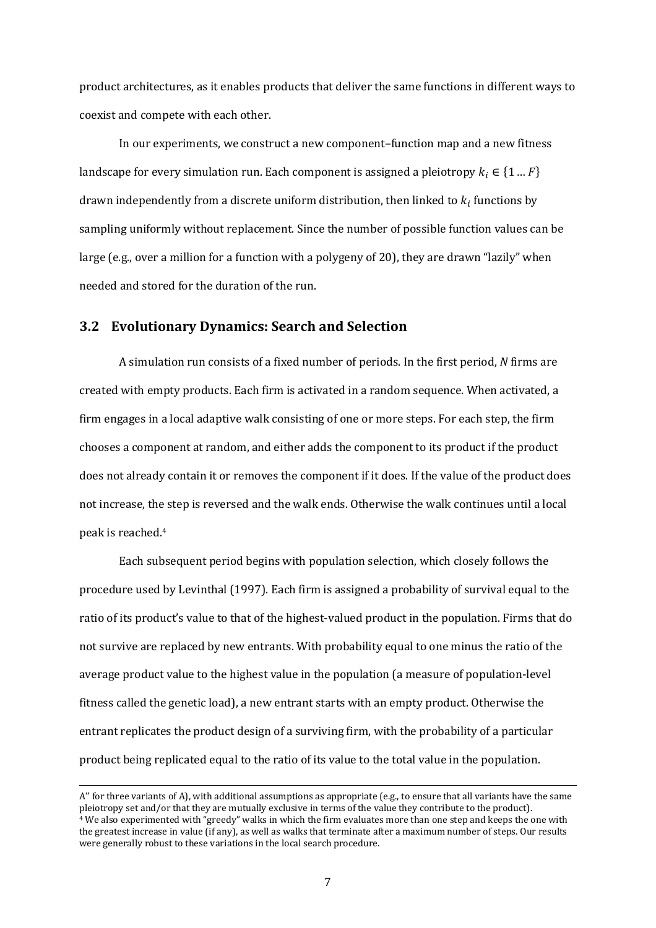product architectures, as it enables products that deliver the same functions in different ways to coexist and compete with each other.

In our experiments, we construct a new component–function map and a new fitness landscape for every simulation run. Each component is assigned a pleiotropy  $k_i \in \{1...F\}$ drawn independently from a discrete uniform distribution, then linked to  $k_i$  functions by sampling uniformly without replacement. Since the number of possible function values can be large (e.g., over a million for a function with a polygeny of 20), they are drawn "lazily" when needed and stored for the duration of the run.

## **3.2 Evolutionary Dynamics: Search and Selection**

A simulation run consists of a fixed number of periods. In the first period, *N* firms are created with empty products. Each firm is activated in a random sequence. When activated, a firm engages in a local adaptive walk consisting of one or more steps. For each step, the firm chooses a component at random, and either adds the component to its product if the product does not already contain it or removes the component if it does. If the value of the product does not increase, the step is reversed and the walk ends. Otherwise the walk continues until a local peak is reached.4

Each subsequent period begins with population selection, which closely follows the procedure used by Levinthal (1997). Each firm is assigned a probability of survival equal to the ratio of its product's value to that of the highest-valued product in the population. Firms that do not survive are replaced by new entrants. With probability equal to one minus the ratio of the average product value to the highest value in the population (a measure of population-level fitness called the genetic load), a new entrant starts with an empty product. Otherwise the entrant replicates the product design of a surviving firm, with the probability of a particular product being replicated equal to the ratio of its value to the total value in the population.

 $\overline{a}$ 

A" for three variants of A), with additional assumptions as appropriate (e.g., to ensure that all variants have the same pleiotropy set and/or that they are mutually exclusive in terms of the value they contribute to the product). <sup>4</sup> We also experimented with "greedy" walks in which the firm evaluates more than one step and keeps the one with the greatest increase in value (if any), as well as walks that terminate after a maximum number of steps. Our results were generally robust to these variations in the local search procedure.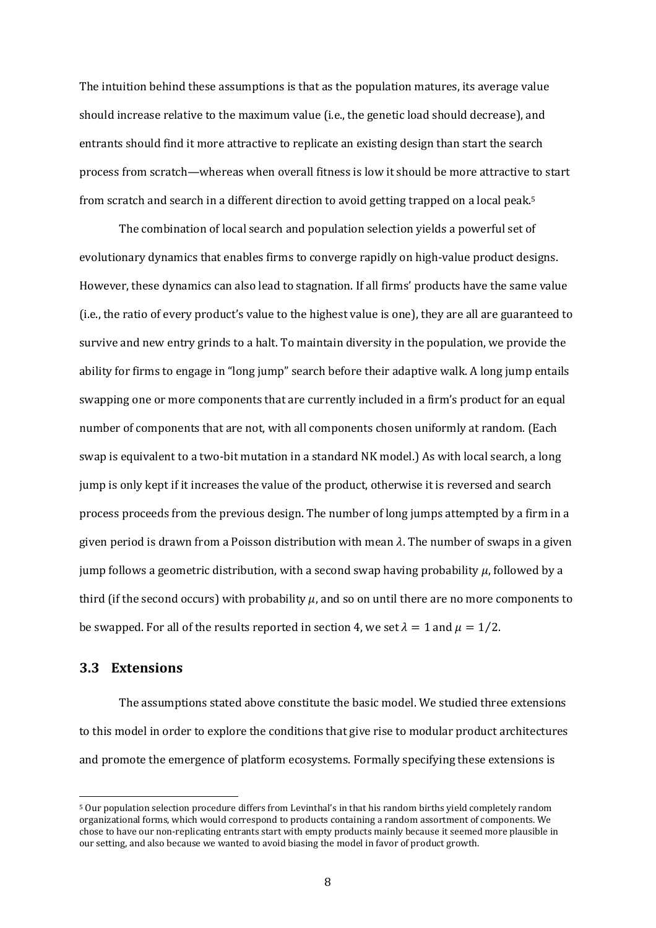The intuition behind these assumptions is that as the population matures, its average value should increase relative to the maximum value (i.e., the genetic load should decrease), and entrants should find it more attractive to replicate an existing design than start the search process from scratch—whereas when overall fitness is low it should be more attractive to start from scratch and search in a different direction to avoid getting trapped on a local peak.5

The combination of local search and population selection yields a powerful set of evolutionary dynamics that enables firms to converge rapidly on high-value product designs. However, these dynamics can also lead to stagnation. If all firms' products have the same value (i.e., the ratio of every product's value to the highest value is one), they are all are guaranteed to survive and new entry grinds to a halt. To maintain diversity in the population, we provide the ability for firms to engage in "long jump" search before their adaptive walk. A long jump entails swapping one or more components that are currently included in a firm's product for an equal number of components that are not, with all components chosen uniformly at random. (Each swap is equivalent to a two-bit mutation in a standard NK model.) As with local search, a long jump is only kept if it increases the value of the product, otherwise it is reversed and search process proceeds from the previous design. The number of long jumps attempted by a firm in a given period is drawn from a Poisson distribution with mean  $\lambda$ . The number of swaps in a given jump follows a geometric distribution, with a second swap having probability  $\mu$ , followed by a third (if the second occurs) with probability  $\mu$ , and so on until there are no more components to be swapped. For all of the results reported in section 4, we set  $\lambda = 1$  and  $\mu = 1/2$ .

### **3.3 Extensions**

The assumptions stated above constitute the basic model. We studied three extensions to this model in order to explore the conditions that give rise to modular product architectures and promote the emergence of platform ecosystems. Formally specifying these extensions is

<sup>&</sup>lt;sup>5</sup> Our population selection procedure differs from Levinthal's in that his random births yield completely random organizational forms, which would correspond to products containing a random assortment of components. We chose to have our non-replicating entrants start with empty products mainly because it seemed more plausible in our setting, and also because we wanted to avoid biasing the model in favor of product growth.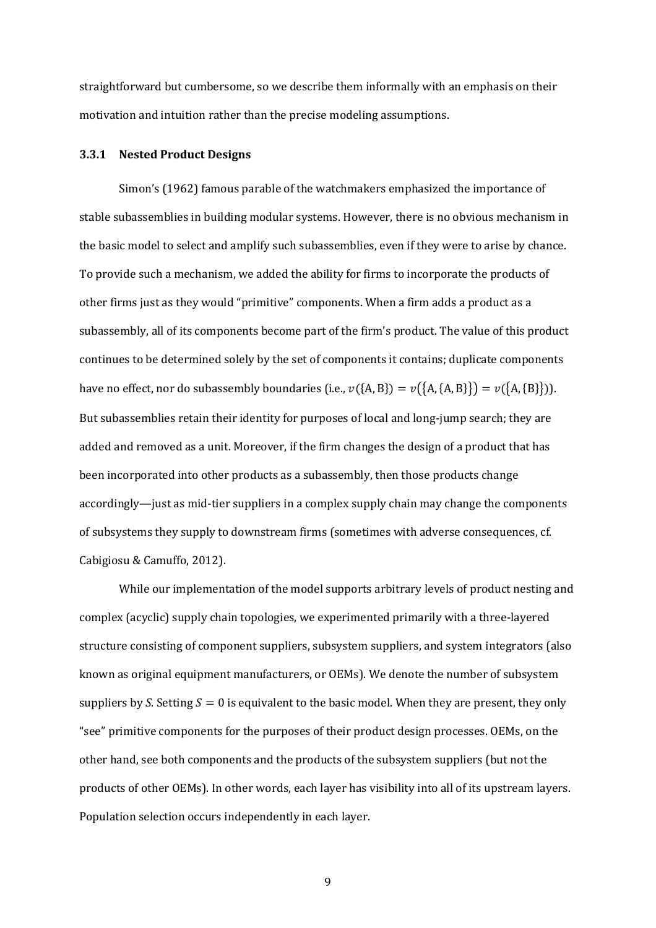straightforward but cumbersome, so we describe them informally with an emphasis on their motivation and intuition rather than the precise modeling assumptions.

#### **3.3.1 Nested Product Designs**

Simon's (1962) famous parable of the watchmakers emphasized the importance of stable subassemblies in building modular systems. However, there is no obvious mechanism in the basic model to select and amplify such subassemblies, even if they were to arise by chance. To provide such a mechanism, we added the ability for firms to incorporate the products of other firms just as they would "primitive" components. When a firm adds a product as a subassembly, all of its components become part of the firm's product. The value of this product continues to be determined solely by the set of components it contains; duplicate components have no effect, nor do subassembly boundaries (i.e.,  $v({A, B}) = v({A, {A, B}}) = v({A, {B}}).$ But subassemblies retain their identity for purposes of local and long-jump search; they are added and removed as a unit. Moreover, if the firm changes the design of a product that has been incorporated into other products as a subassembly, then those products change accordingly—just as mid-tier suppliers in a complex supply chain may change the components of subsystems they supply to downstream firms (sometimes with adverse consequences, cf. Cabigiosu & Camuffo, 2012).

While our implementation of the model supports arbitrary levels of product nesting and complex (acyclic) supply chain topologies, we experimented primarily with a three-layered structure consisting of component suppliers, subsystem suppliers, and system integrators (also known as original equipment manufacturers, or OEMs). We denote the number of subsystem suppliers by *S*. Setting  $S = 0$  is equivalent to the basic model. When they are present, they only "see" primitive components for the purposes of their product design processes. OEMs, on the other hand, see both components and the products of the subsystem suppliers (but not the products of other OEMs). In other words, each layer has visibility into all of its upstream layers. Population selection occurs independently in each layer.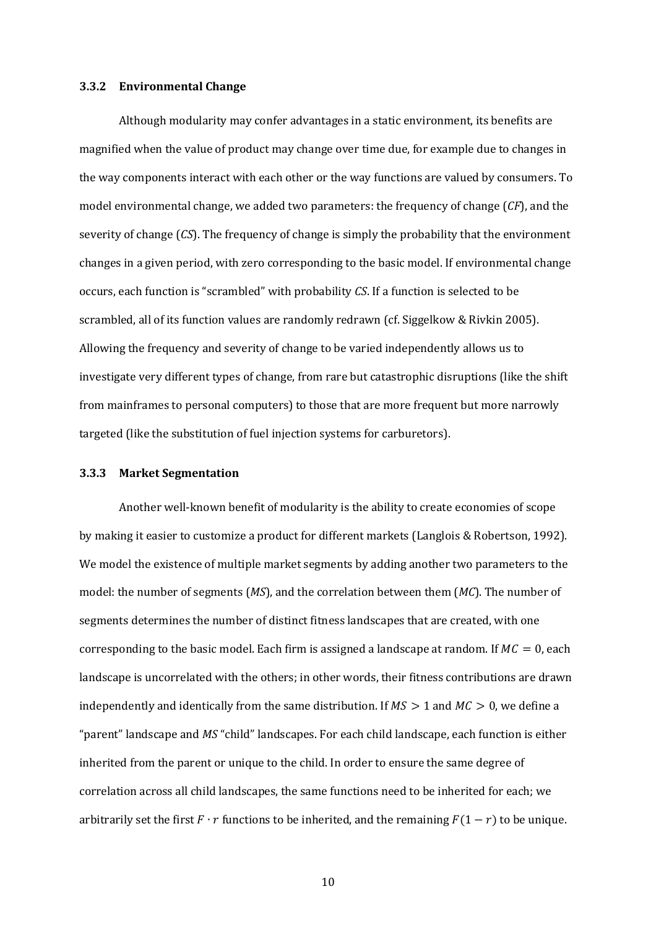#### **3.3.2 Environmental Change**

Although modularity may confer advantages in a static environment, its benefits are magnified when the value of product may change over time due, for example due to changes in the way components interact with each other or the way functions are valued by consumers. To model environmental change, we added two parameters: the frequency of change (*CF*), and the severity of change (*CS*). The frequency of change is simply the probability that the environment changes in a given period, with zero corresponding to the basic model. If environmental change occurs, each function is "scrambled" with probability *CS*. If a function is selected to be scrambled, all of its function values are randomly redrawn (cf. Siggelkow & Rivkin 2005). Allowing the frequency and severity of change to be varied independently allows us to investigate very different types of change, from rare but catastrophic disruptions (like the shift from mainframes to personal computers) to those that are more frequent but more narrowly targeted (like the substitution of fuel injection systems for carburetors).

#### **3.3.3 Market Segmentation**

Another well-known benefit of modularity is the ability to create economies of scope by making it easier to customize a product for different markets (Langlois & Robertson, 1992). We model the existence of multiple market segments by adding another two parameters to the model: the number of segments (*MS*), and the correlation between them (*MC*). The number of segments determines the number of distinct fitness landscapes that are created, with one corresponding to the basic model. Each firm is assigned a landscape at random. If  $MC = 0$ , each landscape is uncorrelated with the others; in other words, their fitness contributions are drawn independently and identically from the same distribution. If  $MS > 1$  and  $MC > 0$ , we define a "parent" landscape and *MS* "child" landscapes. For each child landscape, each function is either inherited from the parent or unique to the child. In order to ensure the same degree of correlation across all child landscapes, the same functions need to be inherited for each; we arbitrarily set the first  $F \cdot r$  functions to be inherited, and the remaining  $F(1 - r)$  to be unique.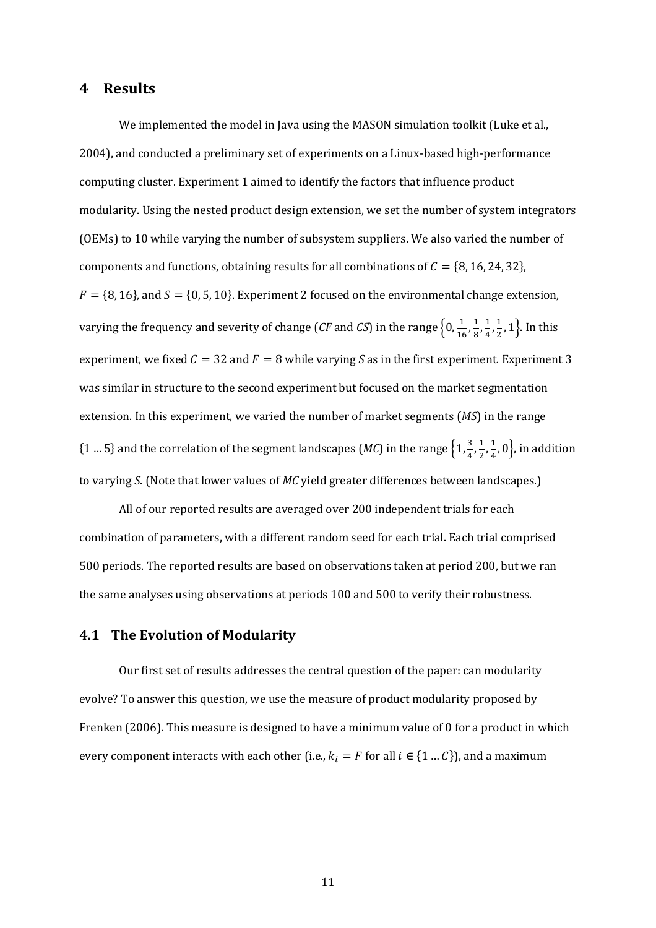## **4 Results**

We implemented the model in Java using the MASON simulation toolkit (Luke et al., 2004), and conducted a preliminary set of experiments on a Linux-based high-performance computing cluster. Experiment 1 aimed to identify the factors that influence product modularity. Using the nested product design extension, we set the number of system integrators (OEMs) to 10 while varying the number of subsystem suppliers. We also varied the number of components and functions, obtaining results for all combinations of  $C = \{8, 16, 24, 32\}$ ,  $F = \{8, 16\}$ , and  $S = \{0, 5, 10\}$ . Experiment 2 focused on the environmental change extension, varying the frequency and severity of change (*CF* and *CS*) in the range  $\left\{0,\frac{1}{16},\frac{1}{8},\frac{1}{4},\frac{1}{2},1\right\}$ . In this experiment, we fixed  $C = 32$  and  $F = 8$  while varying S as in the first experiment. Experiment 3 was similar in structure to the second experiment but focused on the market segmentation extension. In this experiment, we varied the number of market segments (*MS*) in the range  $\{1...5\}$  and the correlation of the segment landscapes (*MC*) in the range  $\left\{1,\frac{3}{4},\frac{1}{2},\frac{1}{4},0\right\}$ , in addition to varying *S*. (Note that lower values of *MC* yield greater differences between landscapes.)

All of our reported results are averaged over 200 independent trials for each combination of parameters, with a different random seed for each trial. Each trial comprised 500 periods. The reported results are based on observations taken at period 200, but we ran the same analyses using observations at periods 100 and 500 to verify their robustness.

### **4.1 The Evolution of Modularity**

Our first set of results addresses the central question of the paper: can modularity evolve? To answer this question, we use the measure of product modularity proposed by Frenken (2006). This measure is designed to have a minimum value of 0 for a product in which every component interacts with each other (i.e.,  $k_i = F$  for all  $i \in \{1 ... C\}$ ), and a maximum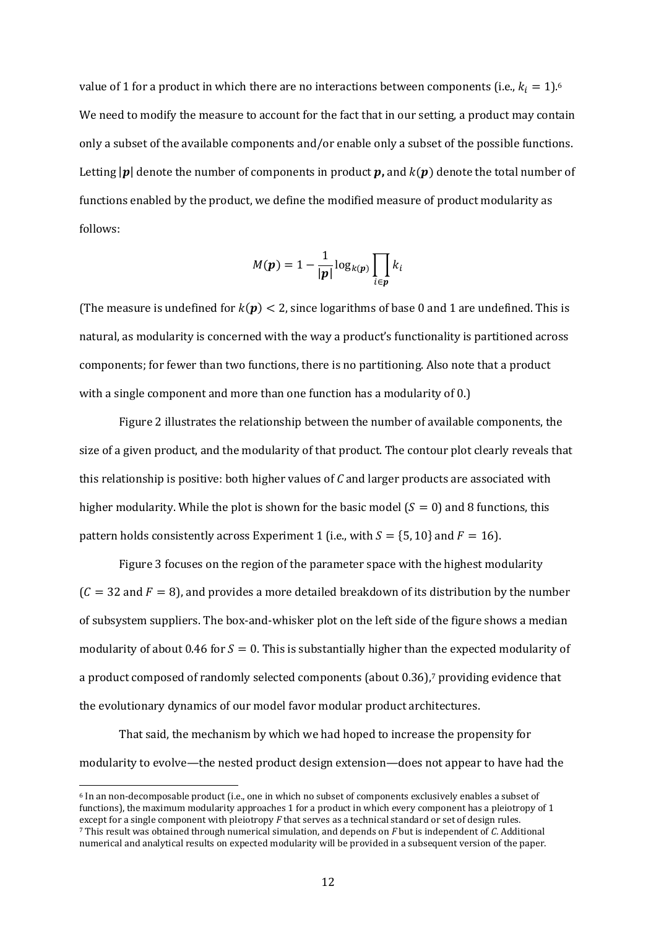value of 1 for a product in which there are no interactions between components (i.e.,  $k_i = 1$ ).<sup>6</sup> We need to modify the measure to account for the fact that in our setting, a product may contain only a subset of the available components and/or enable only a subset of the possible functions. Letting  $|p|$  denote the number of components in product **p**, and  $k(p)$  denote the total number of functions enabled by the product, we define the modified measure of product modularity as follows:

$$
M(\boldsymbol{p}) = 1 - \frac{1}{|\boldsymbol{p}|} \log_{k(\boldsymbol{p})} \prod_{i \in \boldsymbol{p}} k_i
$$

(The measure is undefined for  $k(p) < 2$ , since logarithms of base 0 and 1 are undefined. This is natural, as modularity is concerned with the way a product's functionality is partitioned across components; for fewer than two functions, there is no partitioning. Also note that a product with a single component and more than one function has a modularity of 0.)

Figure 2 illustrates the relationship between the number of available components, the size of a given product, and the modularity of that product. The contour plot clearly reveals that this relationship is positive: both higher values of *C* and larger products are associated with higher modularity. While the plot is shown for the basic model  $(S = 0)$  and 8 functions, this pattern holds consistently across Experiment 1 (i.e., with  $S = \{5, 10\}$  and  $F = 16$ ).

Figure 3 focuses on the region of the parameter space with the highest modularity  $(C = 32$  and  $F = 8$ ), and provides a more detailed breakdown of its distribution by the number of subsystem suppliers. The box-and-whisker plot on the left side of the figure shows a median modularity of about 0.46 for  $S = 0$ . This is substantially higher than the expected modularity of a product composed of randomly selected components (about 0.36), <sup>7</sup> providing evidence that the evolutionary dynamics of our model favor modular product architectures.

That said, the mechanism by which we had hoped to increase the propensity for modularity to evolve—the nested product design extension—does not appear to have had the

 <sup>6</sup> In an non-decomposable product (i.e., one in which no subset of components exclusively enables a subset of functions), the maximum modularity approaches 1 for a product in which every component has a pleiotropy of 1 except for a single component with pleiotropy *F* that serves as a technical standard or set of design rules. <sup>7</sup> This result was obtained through numerical simulation, and depends on *F* but is independent of *C*. Additional numerical and analytical results on expected modularity will be provided in a subsequent version of the paper.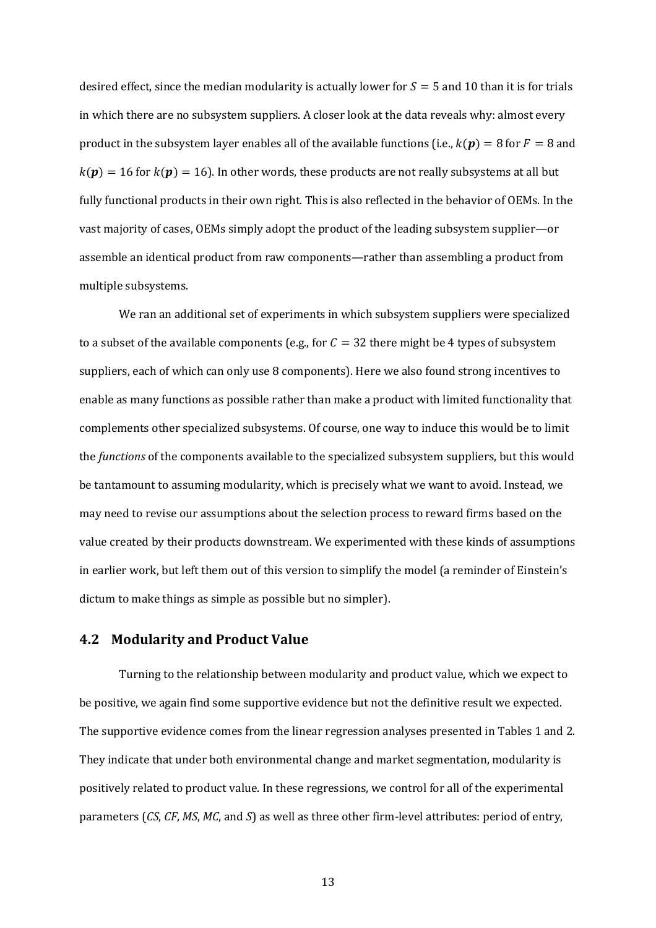desired effect, since the median modularity is actually lower for  $S = 5$  and 10 than it is for trials in which there are no subsystem suppliers. A closer look at the data reveals why: almost every product in the subsystem layer enables all of the available functions (i.e.,  $k(p) = 8$  for  $F = 8$  and  $k(\mathbf{p}) = 16$  for  $k(\mathbf{p}) = 16$ ). In other words, these products are not really subsystems at all but fully functional products in their own right. This is also reflected in the behavior of OEMs. In the vast majority of cases, OEMs simply adopt the product of the leading subsystem supplier—or assemble an identical product from raw components—rather than assembling a product from multiple subsystems.

We ran an additional set of experiments in which subsystem suppliers were specialized to a subset of the available components (e.g., for  $C = 32$  there might be 4 types of subsystem suppliers, each of which can only use 8 components). Here we also found strong incentives to enable as many functions as possible rather than make a product with limited functionality that complements other specialized subsystems. Of course, one way to induce this would be to limit the *functions* of the components available to the specialized subsystem suppliers, but this would be tantamount to assuming modularity, which is precisely what we want to avoid. Instead, we may need to revise our assumptions about the selection process to reward firms based on the value created by their products downstream. We experimented with these kinds of assumptions in earlier work, but left them out of this version to simplify the model (a reminder of Einstein's dictum to make things as simple as possible but no simpler).

## **4.2 Modularity and Product Value**

Turning to the relationship between modularity and product value, which we expect to be positive, we again find some supportive evidence but not the definitive result we expected. The supportive evidence comes from the linear regression analyses presented in Tables 1 and 2. They indicate that under both environmental change and market segmentation, modularity is positively related to product value. In these regressions, we control for all of the experimental parameters (*CS*, *CF*, *MS*, *MC*, and *S*) as well as three other firm-level attributes: period of entry,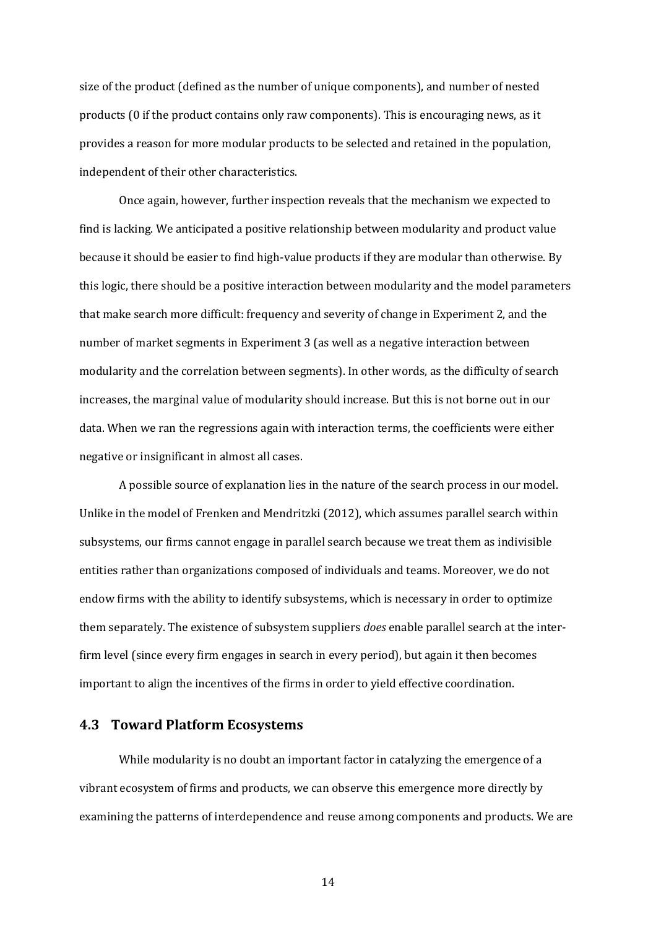size of the product (defined as the number of unique components), and number of nested products (0 if the product contains only raw components). This is encouraging news, as it provides a reason for more modular products to be selected and retained in the population, independent of their other characteristics.

Once again, however, further inspection reveals that the mechanism we expected to find is lacking. We anticipated a positive relationship between modularity and product value because it should be easier to find high-value products if they are modular than otherwise. By this logic, there should be a positive interaction between modularity and the model parameters that make search more difficult: frequency and severity of change in Experiment 2, and the number of market segments in Experiment 3 (as well as a negative interaction between modularity and the correlation between segments). In other words, as the difficulty of search increases, the marginal value of modularity should increase. But this is not borne out in our data. When we ran the regressions again with interaction terms, the coefficients were either negative or insignificant in almost all cases.

A possible source of explanation lies in the nature of the search process in our model. Unlike in the model of Frenken and Mendritzki (2012), which assumes parallel search within subsystems, our firms cannot engage in parallel search because we treat them as indivisible entities rather than organizations composed of individuals and teams. Moreover, we do not endow firms with the ability to identify subsystems, which is necessary in order to optimize them separately. The existence of subsystem suppliers *does* enable parallel search at the interfirm level (since every firm engages in search in every period), but again it then becomes important to align the incentives of the firms in order to yield effective coordination.

### **4.3 Toward Platform Ecosystems**

While modularity is no doubt an important factor in catalyzing the emergence of a vibrant ecosystem of firms and products, we can observe this emergence more directly by examining the patterns of interdependence and reuse among components and products. We are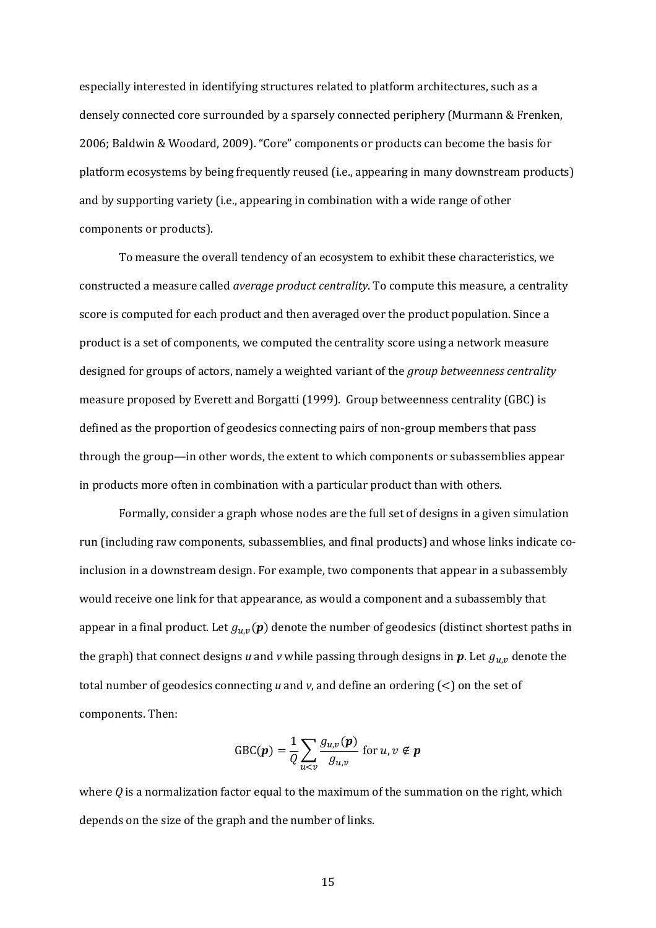especially interested in identifying structures related to platform architectures, such as a densely connected core surrounded by a sparsely connected periphery (Murmann & Frenken, 2006; Baldwin & Woodard, 2009). "Core" components or products can become the basis for platform ecosystems by being frequently reused (i.e., appearing in many downstream products) and by supporting variety (i.e., appearing in combination with a wide range of other components or products).

To measure the overall tendency of an ecosystem to exhibit these characteristics, we constructed a measure called *average product centrality*. To compute this measure, a centrality score is computed for each product and then averaged over the product population. Since a product is a set of components, we computed the centrality score using a network measure designed for groups of actors, namely a weighted variant of the *group betweenness centrality* measure proposed by Everett and Borgatti (1999). Group betweenness centrality (GBC) is defined as the proportion of geodesics connecting pairs of non-group members that pass through the group—in other words, the extent to which components or subassemblies appear in products more often in combination with a particular product than with others.

Formally, consider a graph whose nodes are the full set of designs in a given simulation run (including raw components, subassemblies, and final products) and whose links indicate coinclusion in a downstream design. For example, two components that appear in a subassembly would receive one link for that appearance, as would a component and a subassembly that appear in a final product. Let  $g_{u,v}(p)$  denote the number of geodesics (distinct shortest paths in the graph) that connect designs *u* and *v* while passing through designs in  $p$ . Let  $g_{u,v}$  denote the total number of geodesics connecting *u* and *v*, and define an ordering (<) on the set of components. Then:

$$
\text{GBC}(\boldsymbol{p}) = \frac{1}{Q} \sum_{u < v} \frac{g_{u,v}(\boldsymbol{p})}{g_{u,v}} \text{ for } u, v \notin \boldsymbol{p}
$$

where *Q* is a normalization factor equal to the maximum of the summation on the right, which depends on the size of the graph and the number of links.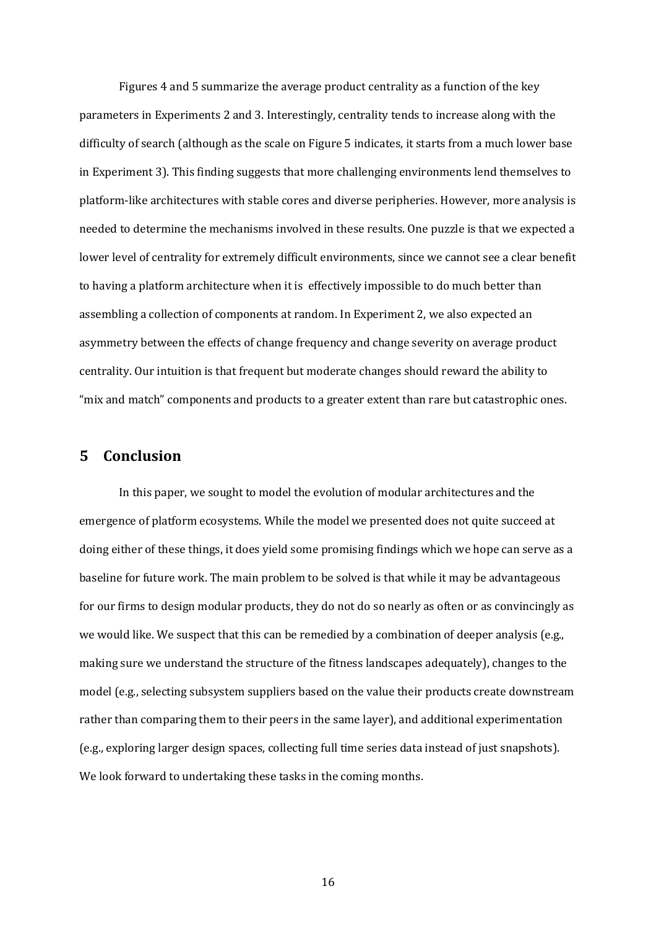Figures 4 and 5 summarize the average product centrality as a function of the key parameters in Experiments 2 and 3. Interestingly, centrality tends to increase along with the difficulty of search (although as the scale on Figure 5 indicates, it starts from a much lower base in Experiment 3). This finding suggests that more challenging environments lend themselves to platform-like architectures with stable cores and diverse peripheries. However, more analysis is needed to determine the mechanisms involved in these results. One puzzle is that we expected a lower level of centrality for extremely difficult environments, since we cannot see a clear benefit to having a platform architecture when it is effectively impossible to do much better than assembling a collection of components at random. In Experiment 2, we also expected an asymmetry between the effects of change frequency and change severity on average product centrality. Our intuition is that frequent but moderate changes should reward the ability to "mix and match" components and products to a greater extent than rare but catastrophic ones.

## **5 Conclusion**

In this paper, we sought to model the evolution of modular architectures and the emergence of platform ecosystems. While the model we presented does not quite succeed at doing either of these things, it does yield some promising findings which we hope can serve as a baseline for future work. The main problem to be solved is that while it may be advantageous for our firms to design modular products, they do not do so nearly as often or as convincingly as we would like. We suspect that this can be remedied by a combination of deeper analysis (e.g., making sure we understand the structure of the fitness landscapes adequately), changes to the model (e.g., selecting subsystem suppliers based on the value their products create downstream rather than comparing them to their peers in the same layer), and additional experimentation (e.g., exploring larger design spaces, collecting full time series data instead of just snapshots). We look forward to undertaking these tasks in the coming months.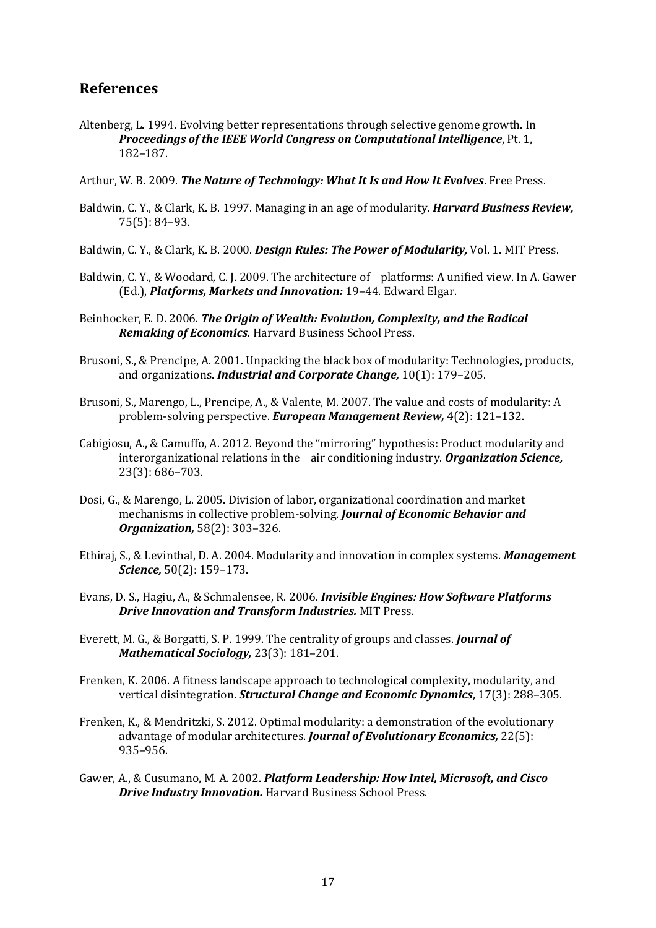## **References**

- Altenberg, L. 1994. Evolving better representations through selective genome growth. In *Proceedings of the IEEE World Congress on Computational Intelligence*, Pt. 1, 182–187.
- Arthur, W. B. 2009. *The Nature of Technology: What It Is and How It Evolves*. Free Press.
- Baldwin, C. Y., & Clark, K. B. 1997. Managing in an age of modularity. *Harvard Business Review,* 75(5): 84–93.
- Baldwin, C. Y., & Clark, K. B. 2000. *Design Rules: The Power of Modularity,* Vol. 1. MIT Press.
- Baldwin, C. Y., & Woodard, C. J. 2009. The architecture of platforms: A unified view. In A. Gawer (Ed.), *Platforms, Markets and Innovation:* 19–44. Edward Elgar.
- Beinhocker, E. D. 2006. *The Origin of Wealth: Evolution, Complexity, and the Radical Remaking of Economics.* Harvard Business School Press.
- Brusoni, S., & Prencipe, A. 2001. Unpacking the black box of modularity: Technologies, products, and organizations. *Industrial and Corporate Change,* 10(1): 179–205.
- Brusoni, S., Marengo, L., Prencipe, A., & Valente, M. 2007. The value and costs of modularity: A problem-solving perspective. *European Management Review,* 4(2): 121–132.
- Cabigiosu, A., & Camuffo, A. 2012. Beyond the "mirroring" hypothesis: Product modularity and interorganizational relations in the air conditioning industry. *Organization Science,* 23(3): 686–703.
- Dosi, G., & Marengo, L. 2005. Division of labor, organizational coordination and market mechanisms in collective problem-solving. *Journal of Economic Behavior and Organization,* 58(2): 303–326.
- Ethiraj, S., & Levinthal, D. A. 2004. Modularity and innovation in complex systems. *Management Science,* 50(2): 159–173.
- Evans, D. S., Hagiu, A., & Schmalensee, R. 2006. *Invisible Engines: How Software Platforms Drive Innovation and Transform Industries.* MIT Press.
- Everett, M. G., & Borgatti, S. P. 1999. The centrality of groups and classes. *Journal of Mathematical Sociology,* 23(3): 181–201.
- Frenken, K. 2006. A fitness landscape approach to technological complexity, modularity, and vertical disintegration. *Structural Change and Economic Dynamics*, 17(3): 288–305.
- Frenken, K., & Mendritzki, S. 2012. Optimal modularity: a demonstration of the evolutionary advantage of modular architectures. *Journal of Evolutionary Economics,* 22(5): 935–956.
- Gawer, A., & Cusumano, M. A. 2002. *Platform Leadership: How Intel, Microsoft, and Cisco Drive Industry Innovation.* Harvard Business School Press.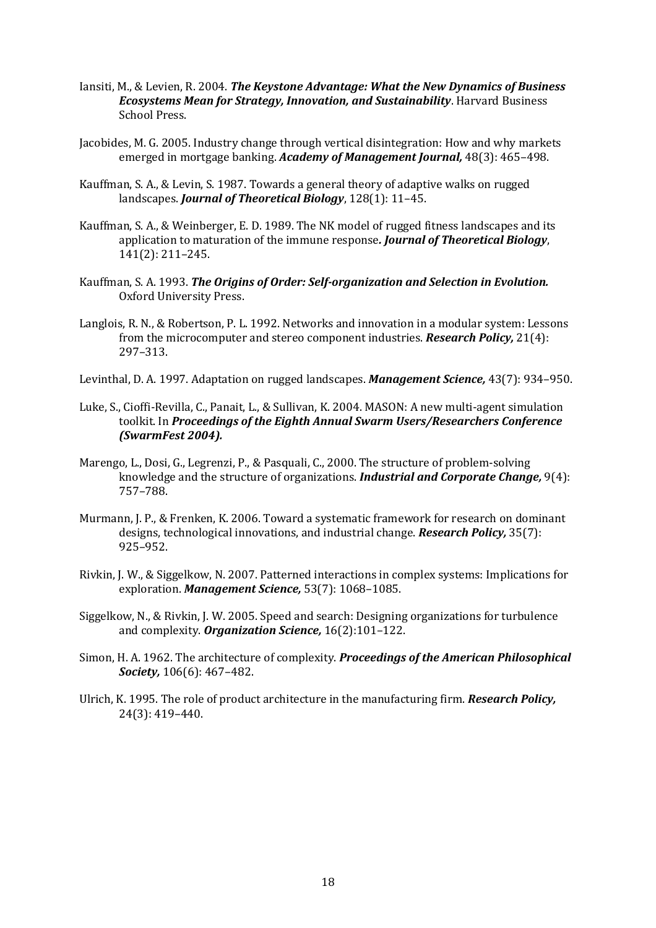- Iansiti, M., & Levien, R. 2004. *The Keystone Advantage: What the New Dynamics of Business Ecosystems Mean for Strategy, Innovation, and Sustainability*. Harvard Business School Press.
- Jacobides, M. G. 2005. Industry change through vertical disintegration: How and why markets emerged in mortgage banking. *Academy of Management Journal,* 48(3): 465–498.
- Kauffman, S. A., & Levin, S. 1987. Towards a general theory of adaptive walks on rugged landscapes. *Journal of Theoretical Biology*, 128(1): 11–45.
- Kauffman, S. A., & Weinberger, E. D. 1989. The NK model of rugged fitness landscapes and its application to maturation of the immune response*. Journal of Theoretical Biology*, 141(2): 211–245.
- Kauffman, S. A. 1993. *The Origins of Order: Self-organization and Selection in Evolution.* Oxford University Press.
- Langlois, R. N., & Robertson, P. L. 1992. Networks and innovation in a modular system: Lessons from the microcomputer and stereo component industries. *Research Policy,* 21(4): 297–313.
- Levinthal, D. A. 1997. Adaptation on rugged landscapes. *Management Science,* 43(7): 934–950.
- Luke, S., Cioffi-Revilla, C., Panait, L., & Sullivan, K. 2004. MASON: A new multi-agent simulation toolkit. In *Proceedings of the Eighth Annual Swarm Users/Researchers Conference (SwarmFest 2004).*
- Marengo, L., Dosi, G., Legrenzi, P., & Pasquali, C., 2000. The structure of problem-solving knowledge and the structure of organizations. *Industrial and Corporate Change,* 9(4): 757–788.
- Murmann, J. P., & Frenken, K. 2006. Toward a systematic framework for research on dominant designs, technological innovations, and industrial change. *Research Policy,* 35(7): 925–952.
- Rivkin, J. W., & Siggelkow, N. 2007. Patterned interactions in complex systems: Implications for exploration. *Management Science,* 53(7): 1068–1085.
- Siggelkow, N., & Rivkin, J. W. 2005. Speed and search: Designing organizations for turbulence and complexity. *Organization Science,* 16(2):101–122.
- Simon, H. A. 1962. The architecture of complexity. *Proceedings of the American Philosophical Society,* 106(6): 467–482.
- Ulrich, K. 1995. The role of product architecture in the manufacturing firm. *Research Policy,*  24(3): 419–440.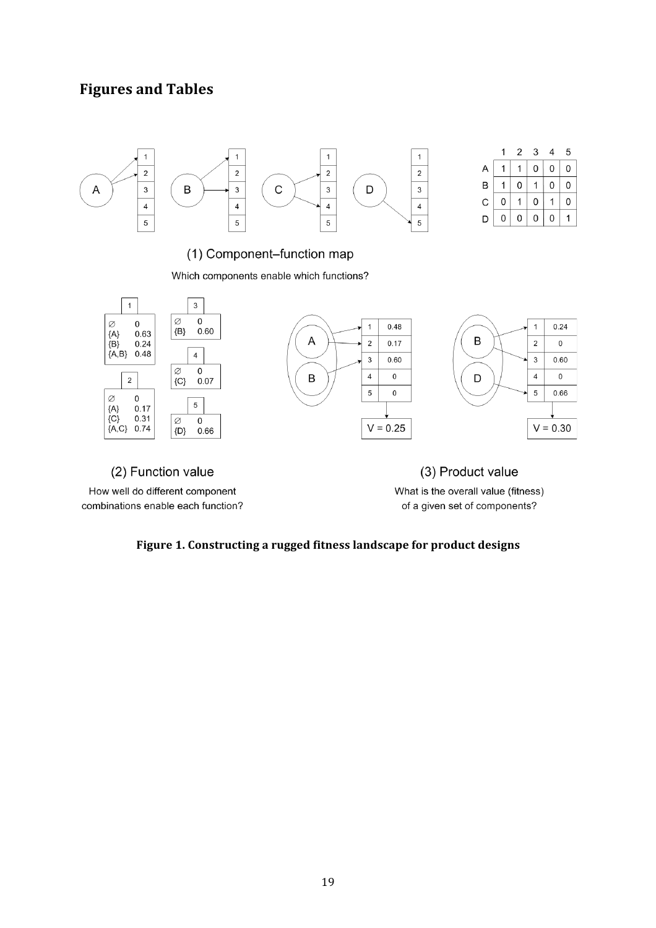# **Figures and Tables**



(2) Function value

How well do different component combinations enable each function?

(3) Product value What is the overall value (fitness) of a given set of components?

## Figure 1. Constructing a rugged fitness landscape for product designs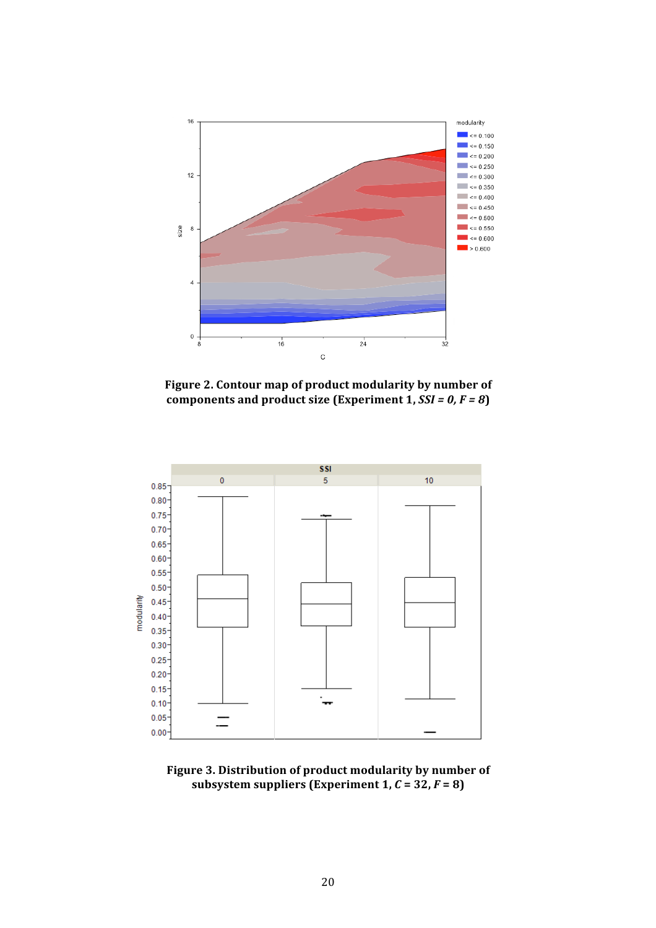

Figure 2. Contour map of product modularity by number of components and product size (Experiment 1,  $SSI = 0, F = 8$ )



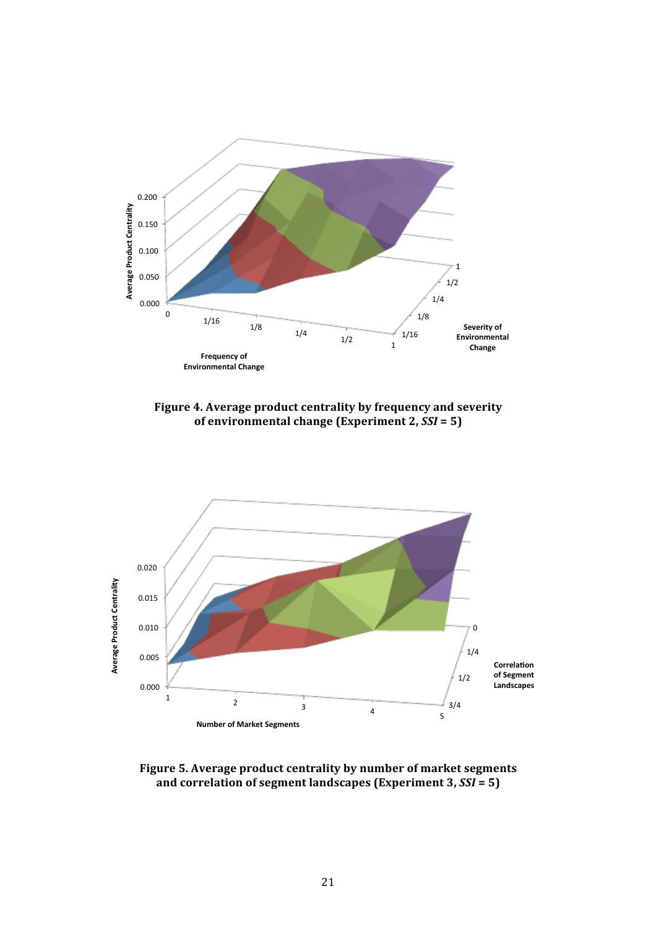

Figure 4. Average product centrality by frequency and severity **of environmental change (Experiment 2,**  $SSI = 5$ **)** 



Figure 5. Average product centrality by number of market segments and correlation of segment landscapes (Experiment 3,  $SSI = 5$ )